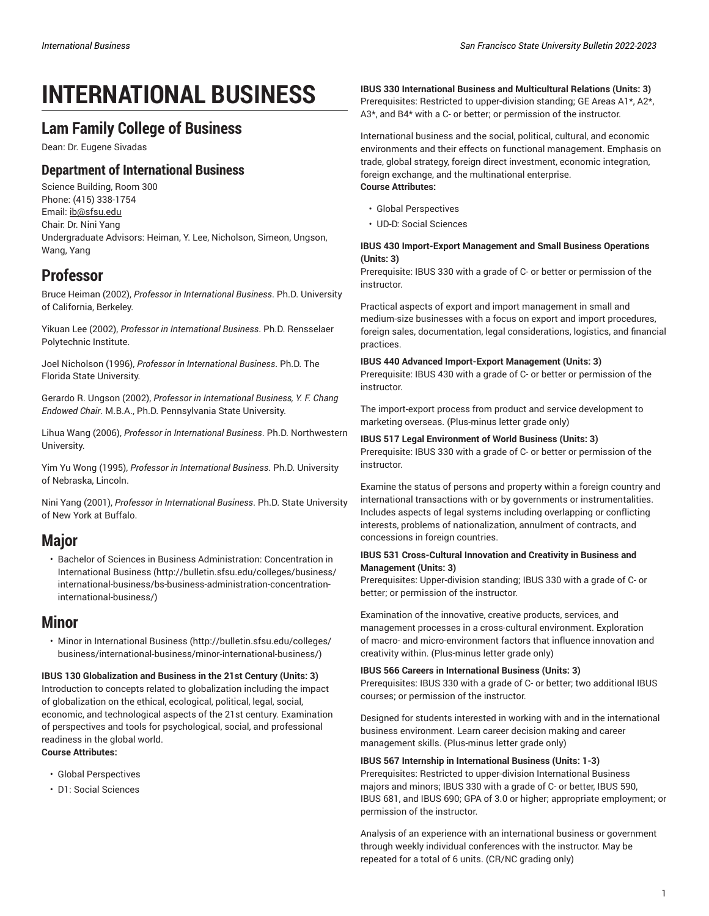# **INTERNATIONAL BUSINESS**

# **Lam Family College of Business**

Dean: Dr. Eugene Sivadas

# **Department of International Business**

Science Building, Room 300 Phone: (415) 338-1754 Email: [ib@sfsu.edu](mailto:ib@sfsu.edu) Chair: Dr. Nini Yang Undergraduate Advisors: Heiman, Y. Lee, Nicholson, Simeon, Ungson, Wang, Yang

# **Professor**

Bruce Heiman (2002), *Professor in International Business*. Ph.D. University of California, Berkeley.

Yikuan Lee (2002), *Professor in International Business*. Ph.D. Rensselaer Polytechnic Institute.

Joel Nicholson (1996), *Professor in International Business*. Ph.D. The Florida State University.

Gerardo R. Ungson (2002), *Professor in International Business, Y. F. Chang Endowed Chair*. M.B.A., Ph.D. Pennsylvania State University.

Lihua Wang (2006), *Professor in International Business*. Ph.D. Northwestern University.

Yim Yu Wong (1995), *Professor in International Business*. Ph.D. University of Nebraska, Lincoln.

Nini Yang (2001), *Professor in International Business*. Ph.D. State University of New York at Buffalo.

# **Major**

• [Bachelor of Sciences in Business Administration: Concentration in](http://bulletin.sfsu.edu/colleges/business/international-business/bs-business-administration-concentration-international-business/) [International Business \(http://bulletin.sfsu.edu/colleges/business/](http://bulletin.sfsu.edu/colleges/business/international-business/bs-business-administration-concentration-international-business/) [international-business/bs-business-administration-concentration](http://bulletin.sfsu.edu/colleges/business/international-business/bs-business-administration-concentration-international-business/)[international-business/](http://bulletin.sfsu.edu/colleges/business/international-business/bs-business-administration-concentration-international-business/))

# **Minor**

• [Minor in International Business](http://bulletin.sfsu.edu/colleges/business/international-business/minor-international-business/) ([http://bulletin.sfsu.edu/colleges/](http://bulletin.sfsu.edu/colleges/business/international-business/minor-international-business/) [business/international-business/minor-international-business/](http://bulletin.sfsu.edu/colleges/business/international-business/minor-international-business/))

**IBUS 130 Globalization and Business in the 21st Century (Units: 3)** Introduction to concepts related to globalization including the impact of globalization on the ethical, ecological, political, legal, social, economic, and technological aspects of the 21st century. Examination of perspectives and tools for psychological, social, and professional readiness in the global world. **Course Attributes:**

- Global Perspectives
- D1: Social Sciences

**IBUS 330 International Business and Multicultural Relations (Units: 3)** Prerequisites: Restricted to upper-division standing; GE Areas A1\*, A2\*, A3\*, and B4\* with a C- or better; or permission of the instructor.

International business and the social, political, cultural, and economic environments and their effects on functional management. Emphasis on trade, global strategy, foreign direct investment, economic integration, foreign exchange, and the multinational enterprise. **Course Attributes:**

- Global Perspectives
- UD-D: Social Sciences

# **IBUS 430 Import-Export Management and Small Business Operations (Units: 3)**

Prerequisite: IBUS 330 with a grade of C- or better or permission of the instructor.

Practical aspects of export and import management in small and medium-size businesses with a focus on export and import procedures, foreign sales, documentation, legal considerations, logistics, and financial practices.

# **IBUS 440 Advanced Import-Export Management (Units: 3)**

Prerequisite: IBUS 430 with a grade of C- or better or permission of the instructor.

The import-export process from product and service development to marketing overseas. (Plus-minus letter grade only)

# **IBUS 517 Legal Environment of World Business (Units: 3)**

Prerequisite: IBUS 330 with a grade of C- or better or permission of the instructor.

Examine the status of persons and property within a foreign country and international transactions with or by governments or instrumentalities. Includes aspects of legal systems including overlapping or conflicting interests, problems of nationalization, annulment of contracts, and concessions in foreign countries.

# **IBUS 531 Cross-Cultural Innovation and Creativity in Business and Management (Units: 3)**

Prerequisites: Upper-division standing; IBUS 330 with a grade of C- or better; or permission of the instructor.

Examination of the innovative, creative products, services, and management processes in a cross-cultural environment. Exploration of macro- and micro-environment factors that influence innovation and creativity within. (Plus-minus letter grade only)

# **IBUS 566 Careers in International Business (Units: 3)**

Prerequisites: IBUS 330 with a grade of C- or better; two additional IBUS courses; or permission of the instructor.

Designed for students interested in working with and in the international business environment. Learn career decision making and career management skills. (Plus-minus letter grade only)

# **IBUS 567 Internship in International Business (Units: 1-3)**

Prerequisites: Restricted to upper-division International Business majors and minors; IBUS 330 with a grade of C- or better, IBUS 590, IBUS 681, and IBUS 690; GPA of 3.0 or higher; appropriate employment; or permission of the instructor.

Analysis of an experience with an international business or government through weekly individual conferences with the instructor. May be repeated for a total of 6 units. (CR/NC grading only)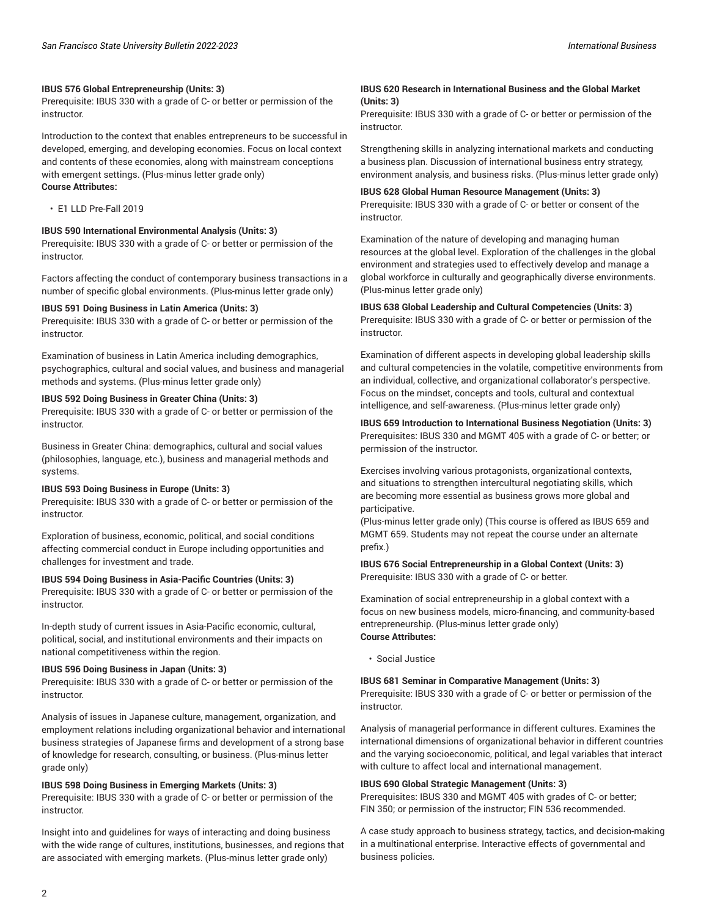#### **IBUS 576 Global Entrepreneurship (Units: 3)**

Prerequisite: IBUS 330 with a grade of C- or better or permission of the instructor.

Introduction to the context that enables entrepreneurs to be successful in developed, emerging, and developing economies. Focus on local context and contents of these economies, along with mainstream conceptions with emergent settings. (Plus-minus letter grade only) **Course Attributes:**

• E1 LLD Pre-Fall 2019

#### **IBUS 590 International Environmental Analysis (Units: 3)**

Prerequisite: IBUS 330 with a grade of C- or better or permission of the instructor.

Factors affecting the conduct of contemporary business transactions in a number of specific global environments. (Plus-minus letter grade only)

#### **IBUS 591 Doing Business in Latin America (Units: 3)**

Prerequisite: IBUS 330 with a grade of C- or better or permission of the instructor.

Examination of business in Latin America including demographics, psychographics, cultural and social values, and business and managerial methods and systems. (Plus-minus letter grade only)

#### **IBUS 592 Doing Business in Greater China (Units: 3)**

Prerequisite: IBUS 330 with a grade of C- or better or permission of the instructor.

Business in Greater China: demographics, cultural and social values (philosophies, language, etc.), business and managerial methods and systems.

# **IBUS 593 Doing Business in Europe (Units: 3)**

Prerequisite: IBUS 330 with a grade of C- or better or permission of the instructor.

Exploration of business, economic, political, and social conditions affecting commercial conduct in Europe including opportunities and challenges for investment and trade.

#### **IBUS 594 Doing Business in Asia-Pacific Countries (Units: 3)**

Prerequisite: IBUS 330 with a grade of C- or better or permission of the instructor.

In-depth study of current issues in Asia-Pacific economic, cultural, political, social, and institutional environments and their impacts on national competitiveness within the region.

#### **IBUS 596 Doing Business in Japan (Units: 3)**

Prerequisite: IBUS 330 with a grade of C- or better or permission of the instructor.

Analysis of issues in Japanese culture, management, organization, and employment relations including organizational behavior and international business strategies of Japanese firms and development of a strong base of knowledge for research, consulting, or business. (Plus-minus letter grade only)

## **IBUS 598 Doing Business in Emerging Markets (Units: 3)**

Prerequisite: IBUS 330 with a grade of C- or better or permission of the instructor.

Insight into and guidelines for ways of interacting and doing business with the wide range of cultures, institutions, businesses, and regions that are associated with emerging markets. (Plus-minus letter grade only)

# **IBUS 620 Research in International Business and the Global Market (Units: 3)**

Prerequisite: IBUS 330 with a grade of C- or better or permission of the instructor.

Strengthening skills in analyzing international markets and conducting a business plan. Discussion of international business entry strategy, environment analysis, and business risks. (Plus-minus letter grade only)

#### **IBUS 628 Global Human Resource Management (Units: 3)**

Prerequisite: IBUS 330 with a grade of C- or better or consent of the instructor.

Examination of the nature of developing and managing human resources at the global level. Exploration of the challenges in the global environment and strategies used to effectively develop and manage a global workforce in culturally and geographically diverse environments. (Plus-minus letter grade only)

# **IBUS 638 Global Leadership and Cultural Competencies (Units: 3)**

Prerequisite: IBUS 330 with a grade of C- or better or permission of the instructor.

Examination of different aspects in developing global leadership skills and cultural competencies in the volatile, competitive environments from an individual, collective, and organizational collaborator's perspective. Focus on the mindset, concepts and tools, cultural and contextual intelligence, and self-awareness. (Plus-minus letter grade only)

# **IBUS 659 Introduction to International Business Negotiation (Units: 3)** Prerequisites: IBUS 330 and MGMT 405 with a grade of C- or better; or permission of the instructor.

Exercises involving various protagonists, organizational contexts, and situations to strengthen intercultural negotiating skills, which are becoming more essential as business grows more global and participative.

(Plus-minus letter grade only) (This course is offered as IBUS 659 and MGMT 659. Students may not repeat the course under an alternate prefix.)

# **IBUS 676 Social Entrepreneurship in a Global Context (Units: 3)** Prerequisite: IBUS 330 with a grade of C- or better.

Examination of social entrepreneurship in a global context with a focus on new business models, micro-financing, and community-based entrepreneurship. (Plus-minus letter grade only) **Course Attributes:**

• Social Justice

### **IBUS 681 Seminar in Comparative Management (Units: 3)**

Prerequisite: IBUS 330 with a grade of C- or better or permission of the instructor.

Analysis of managerial performance in different cultures. Examines the international dimensions of organizational behavior in different countries and the varying socioeconomic, political, and legal variables that interact with culture to affect local and international management.

#### **IBUS 690 Global Strategic Management (Units: 3)**

Prerequisites: IBUS 330 and MGMT 405 with grades of C- or better; FIN 350; or permission of the instructor; FIN 536 recommended.

A case study approach to business strategy, tactics, and decision-making in a multinational enterprise. Interactive effects of governmental and business policies.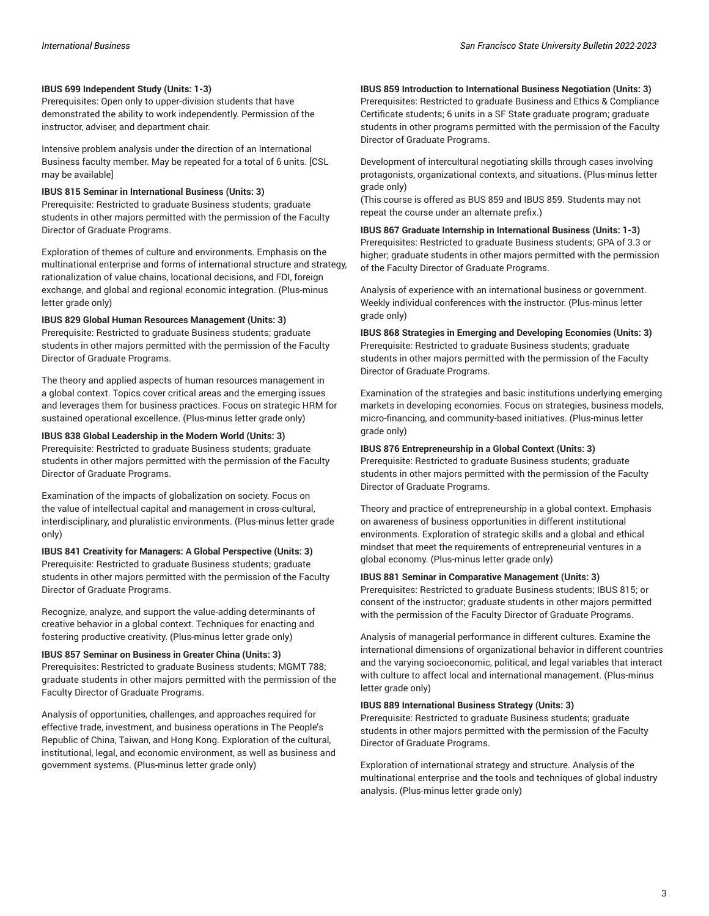#### **IBUS 699 Independent Study (Units: 1-3)**

Prerequisites: Open only to upper-division students that have demonstrated the ability to work independently. Permission of the instructor, adviser, and department chair.

Intensive problem analysis under the direction of an International Business faculty member. May be repeated for a total of 6 units. [CSL may be available]

#### **IBUS 815 Seminar in International Business (Units: 3)**

Prerequisite: Restricted to graduate Business students; graduate students in other majors permitted with the permission of the Faculty Director of Graduate Programs.

Exploration of themes of culture and environments. Emphasis on the multinational enterprise and forms of international structure and strategy, rationalization of value chains, locational decisions, and FDI, foreign exchange, and global and regional economic integration. (Plus-minus letter grade only)

#### **IBUS 829 Global Human Resources Management (Units: 3)**

Prerequisite: Restricted to graduate Business students; graduate students in other majors permitted with the permission of the Faculty Director of Graduate Programs.

The theory and applied aspects of human resources management in a global context. Topics cover critical areas and the emerging issues and leverages them for business practices. Focus on strategic HRM for sustained operational excellence. (Plus-minus letter grade only)

#### **IBUS 838 Global Leadership in the Modern World (Units: 3)**

Prerequisite: Restricted to graduate Business students; graduate students in other majors permitted with the permission of the Faculty Director of Graduate Programs.

Examination of the impacts of globalization on society. Focus on the value of intellectual capital and management in cross-cultural, interdisciplinary, and pluralistic environments. (Plus-minus letter grade only)

**IBUS 841 Creativity for Managers: A Global Perspective (Units: 3)** Prerequisite: Restricted to graduate Business students; graduate students in other majors permitted with the permission of the Faculty Director of Graduate Programs.

Recognize, analyze, and support the value-adding determinants of creative behavior in a global context. Techniques for enacting and fostering productive creativity. (Plus-minus letter grade only)

#### **IBUS 857 Seminar on Business in Greater China (Units: 3)**

Prerequisites: Restricted to graduate Business students; MGMT 788; graduate students in other majors permitted with the permission of the Faculty Director of Graduate Programs.

Analysis of opportunities, challenges, and approaches required for effective trade, investment, and business operations in The People's Republic of China, Taiwan, and Hong Kong. Exploration of the cultural, institutional, legal, and economic environment, as well as business and government systems. (Plus-minus letter grade only)

# **IBUS 859 Introduction to International Business Negotiation (Units: 3)**

Prerequisites: Restricted to graduate Business and Ethics & Compliance Certificate students; 6 units in a SF State graduate program; graduate students in other programs permitted with the permission of the Faculty Director of Graduate Programs.

Development of intercultural negotiating skills through cases involving protagonists, organizational contexts, and situations. (Plus-minus letter grade only)

(This course is offered as BUS 859 and IBUS 859. Students may not repeat the course under an alternate prefix.)

# **IBUS 867 Graduate Internship in International Business (Units: 1-3)** Prerequisites: Restricted to graduate Business students; GPA of 3.3 or higher; graduate students in other majors permitted with the permission of the Faculty Director of Graduate Programs.

Analysis of experience with an international business or government. Weekly individual conferences with the instructor. (Plus-minus letter grade only)

# **IBUS 868 Strategies in Emerging and Developing Economies (Units: 3)** Prerequisite: Restricted to graduate Business students; graduate students in other majors permitted with the permission of the Faculty Director of Graduate Programs.

Examination of the strategies and basic institutions underlying emerging markets in developing economies. Focus on strategies, business models, micro-financing, and community-based initiatives. (Plus-minus letter grade only)

#### **IBUS 876 Entrepreneurship in a Global Context (Units: 3)**

Prerequisite: Restricted to graduate Business students; graduate students in other majors permitted with the permission of the Faculty Director of Graduate Programs.

Theory and practice of entrepreneurship in a global context. Emphasis on awareness of business opportunities in different institutional environments. Exploration of strategic skills and a global and ethical mindset that meet the requirements of entrepreneurial ventures in a global economy. (Plus-minus letter grade only)

#### **IBUS 881 Seminar in Comparative Management (Units: 3)**

Prerequisites: Restricted to graduate Business students; IBUS 815; or consent of the instructor; graduate students in other majors permitted with the permission of the Faculty Director of Graduate Programs.

Analysis of managerial performance in different cultures. Examine the international dimensions of organizational behavior in different countries and the varying socioeconomic, political, and legal variables that interact with culture to affect local and international management. (Plus-minus letter grade only)

#### **IBUS 889 International Business Strategy (Units: 3)**

Prerequisite: Restricted to graduate Business students; graduate students in other majors permitted with the permission of the Faculty Director of Graduate Programs.

Exploration of international strategy and structure. Analysis of the multinational enterprise and the tools and techniques of global industry analysis. (Plus-minus letter grade only)